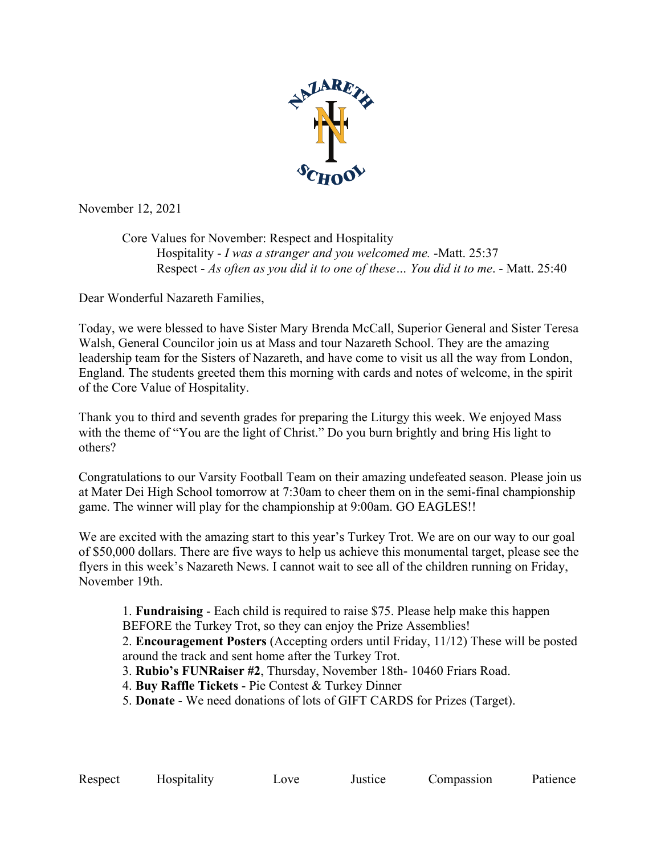

November 12, 2021

Core Values for November: Respect and Hospitality Hospitality - *I was a stranger and you welcomed me.* -Matt. 25:37 Respect - *As often as you did it to one of these… You did it to me*. - Matt. 25:40

Dear Wonderful Nazareth Families,

Today, we were blessed to have Sister Mary Brenda McCall, Superior General and Sister Teresa Walsh, General Councilor join us at Mass and tour Nazareth School. They are the amazing leadership team for the Sisters of Nazareth, and have come to visit us all the way from London, England. The students greeted them this morning with cards and notes of welcome, in the spirit of the Core Value of Hospitality.

Thank you to third and seventh grades for preparing the Liturgy this week. We enjoyed Mass with the theme of "You are the light of Christ." Do you burn brightly and bring His light to others?

Congratulations to our Varsity Football Team on their amazing undefeated season. Please join us at Mater Dei High School tomorrow at 7:30am to cheer them on in the semi-final championship game. The winner will play for the championship at 9:00am. GO EAGLES!!

We are excited with the amazing start to this year's Turkey Trot. We are on our way to our goal of \$50,000 dollars. There are five ways to help us achieve this monumental target, please see the flyers in this week's Nazareth News. I cannot wait to see all of the children running on Friday, November 19th.

1. **Fundraising** - Each child is required to raise \$75. Please help make this happen BEFORE the Turkey Trot, so they can enjoy the Prize Assemblies!

2. **Encouragement Posters** (Accepting orders until Friday, 11/12) These will be posted around the track and sent home after the Turkey Trot.

3. **Rubio's FUNRaiser #2**, Thursday, November 18th- 10460 Friars Road.

4. **Buy Raffle Tickets** - Pie Contest & Turkey Dinner

5. **Donate** - We need donations of lots of GIFT CARDS for Prizes (Target).

Respect Hospitality Love Justice Compassion Patience